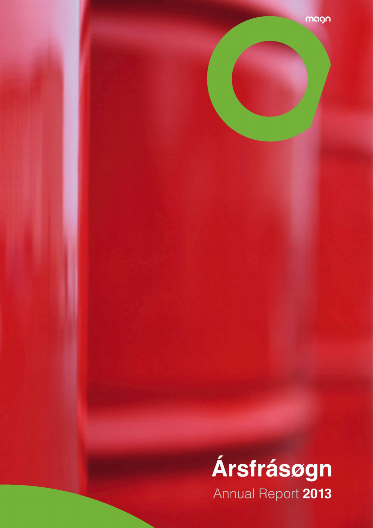

magn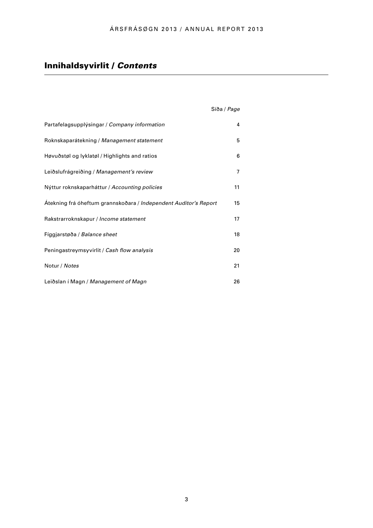# Innihaldsyvirlit / *Contents*

|                                                                  | Síða / Page |
|------------------------------------------------------------------|-------------|
| Partafelagsupplýsingar / Company information                     | 4           |
| Roknskaparátekning / Management statement                        | 5           |
| Høvuðstøl og lyklatøl / Highlights and ratios                    | 6           |
| Leiðslufrágreiðing / Management's review                         | 7           |
| Nýttur roknskaparháttur / Accounting policies                    | 11          |
| Átekning frá óheftum grannskoðara / Independent Auditor's Report | 15          |
| Rakstrarroknskapur / Income statement                            | 17          |
| Fíggjarstøða / Balance sheet                                     | 18          |
| Peningastreymsyvirlit / Cash flow analysis                       | 20          |
| Notur / Notes                                                    | 21          |
| Leiðslan í Magn / Management of Magn                             | 26          |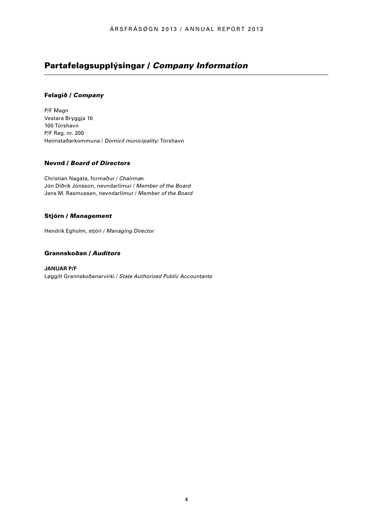# Partafelagsupplýsingar / *Company Information*

## Felagið / *Company*

P/F Magn Vestara Bryggja 10 100 Tórshavn P/F Reg. nr. 200 Heimstaðarkommuna / *Domicil municipality:* Tórshavn

## Nevnd / *Board of Directors*

Christian Nagata, formaður / *Chairma*n Jón Díðrik Jónsson, nevndarlimur / *Member of the Board*  Jens M. Rasmussen, nevndarlimur / *Member of the Board*

## Stjórn / *Management*

Hendrik Egholm, stjóri / *Managing Director*

### Grannskoðan / *Auditors*

**JANUAR P/F**  Løggilt Grannskoðanarvirki / *State Authorized Public Accountants*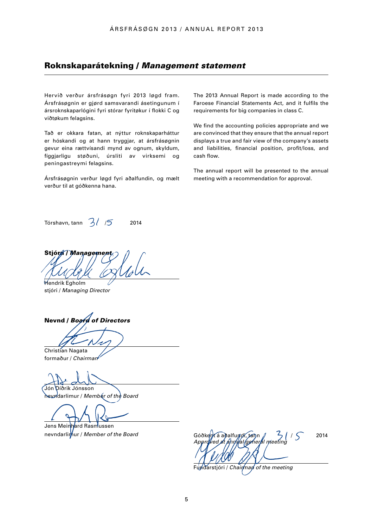# Roknskaparátekning / *Management statement*

Hervið verður ársfrásøgn fyri 2013 løgd fram. Ársfrásøgnin er gjørd samsvarandi ásetingunum í ársroknskaparlógini fyri stórar fyritøkur í flokki C og viðtøkum felagsins.

Tað er okkara fatan, at nýttur roknskaparháttur er hóskandi og at hann tryggjar, at ársfrásøgnin gevur eina rættvísandi mynd av ognum, skyldum, fíggjarligu støðuni, úrsliti av virksemi og peningastreymi felagsins.

Ársfrásøgnin verður løgd fyri aðalfundin, og mælt verður til at góðkenna hana.

The 2013 Annual Report is made according to the Faroese Financial Statements Act, and it fulfils the requirements for big companies in class C.

We find the accounting policies appropriate and we are convinced that they ensure that the annual report displays a true and fair view of the company's assets and liabilities, financial position, profit/loss, and cash flow.

The annual report will be presented to the annual meeting with a recommendation for approval.

Tórshavn, tann  $3/5$  2014

Stjór*n / Manageme* 

Hendrik Egholm stjóri / *Managing Director*

Nevnd / *Board of Directors* 

Christian Nagata formaður / *Chairman*

Díðrik Jónsson nevndarlimur / *Member of the Board* 

Jens Meinhard Rasmussen

nevndarlimur / *Member of the Board* Góðkent á aðalfundi, tann  $\frac{2}{15}$  /  $\frac{2014}{15}$ *Approved at annual general meeting* 

Fundarstjóri / *Chairman of the meeting*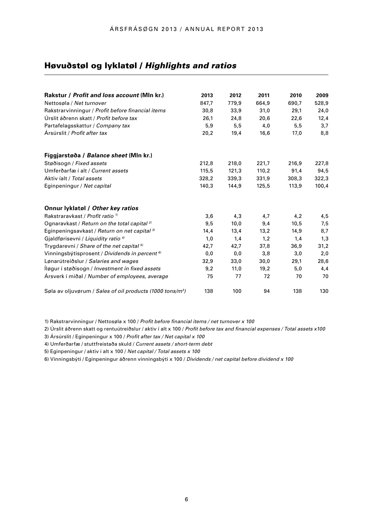# Høvuðstøl og lyklatøl / *Highlights and ratios*

| Rakstur / Profit and loss account (MIn kr.)                           | 2013  | 2012  | 2011  | 2010  | 2009  |
|-----------------------------------------------------------------------|-------|-------|-------|-------|-------|
| Nettosøla / Net turnover                                              | 847,7 | 779,9 | 664,9 | 690,7 | 528,9 |
| Rakstrarvinningur / Profit before financial items                     | 30,8  | 33,9  | 31,0  | 29,1  | 24,0  |
| Úrslit áðrenn skatt / Profit before tax                               | 26,1  | 24,8  | 20,6  | 22,6  | 12,4  |
| Partafelagsskattur / Company tax                                      | 5,9   | 5,5   | 4,0   | 5,5   | 3,7   |
| Ársúrslit / Profit after tax                                          | 20,2  | 19,4  | 16,6  | 17,0  | 8,8   |
| Fíggjarstøða / Balance sheet (MIn kr.)                                |       |       |       |       |       |
| Støðisogn / Fixed assets                                              | 212,8 | 218,0 | 221.7 | 216,9 | 227,8 |
| Umferðarfæ í alt / Current assets                                     | 115,5 | 121,3 | 110,2 | 91,4  | 94,5  |
| Aktiv íalt / Total assets                                             | 328,2 | 339,3 | 331,9 | 308,3 | 322,3 |
| Eginpeningur / Net capital                                            | 140,3 | 144,9 | 125,5 | 113,9 | 100,4 |
| Onnur lyklatøl / Other key ratios                                     |       |       |       |       |       |
| Rakstraravkast / Profit ratio <sup>1/</sup>                           | 3,6   | 4,3   | 4,7   | 4,2   | 4,5   |
| Ognaravkast / Return on the total capital <sup>2)</sup>               | 9,5   | 10,0  | 9,4   | 10,5  | 7,5   |
| Eginpeningsavkast / Return on net capital <sup>3)</sup>               | 14,4  | 13,4  | 13,2  | 14,9  | 8,7   |
| Gjaldførisevni / Liquidity ratio <sup>4)</sup>                        | 1,0   | 1,4   | 1,2   | 1,4   | 1,3   |
| Trygdarevni / Share of the net capital 5)                             | 42,7  | 42,7  | 37,8  | 36,9  | 31,2  |
| Vinningsbýtisprosent / Dividends in percent <sup>6)</sup>             | 0,0   | 0,0   | 3,8   | 3,0   | 2,0   |
| Lønarútreiðslur / Salaries and wages                                  | 32,9  | 33,0  | 30,0  | 29,1  | 28,6  |
| Iløgur í støðisogn / Investment in fixed assets                       | 9,2   | 11,0  | 19,2  | 5,0   | 4,4   |
| Arsverk í miðal / Number of employees, average                        | 75    | 77    | 72    | 70    | 70    |
| Søla av oljuvørum / Sales of oil products (1000 tons/m <sup>3</sup> ) | 138   | 100   | 94    | 138   | 130   |

1) Rakstrarvinningur / Nettosøla x 100 / *Profit before financial items / net turnover x 100* 

2) Úrslit áðrenn skatt og rentuútreiðslur / aktiv í alt x 100 / *Profit before tax and financial expenses / Total assets x100* 

3) Ársúrslit / Eginpeningur x 100 / *Profit after tax / Net capital x 100* 

4) Umferðarfæ / stuttfreistaða skuld / *Current assets / short-term debt* 

5) Eginpeningur / aktiv í alt x 100 / *Net capital / Total assets x 100* 

6) Vinningsbýti / Eginpeningur áðrenn vinningsbýti x 100 / *Dividends / net capital before dividend x 100*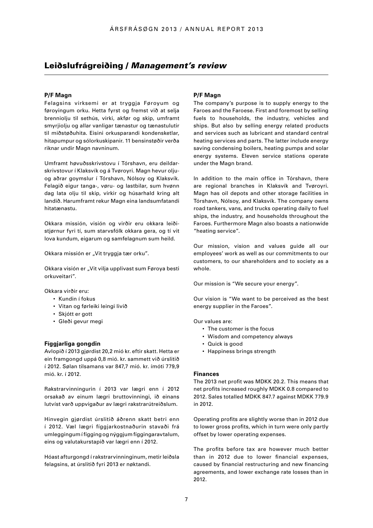# Leiðslufrágreiðing / *Management's review*

#### **P/F Magn**

Felagsins virksemi er at tryggja Føroyum og føroyingum orku. Hetta fyrst og fremst við at selja brenniolju til sethús, virki, akfør og skip, umframt smyrjiolju og allar vanligar tænastur og tænastulutir til miðstøðuhita. Eisini orkusparandi kondensketlar, hitapumpur og sólorkuskipanir. 11 bensinstøðir verða riknar undir Magn navninum.

Umframt høvuðsskrivstovu í Tórshavn, eru deildarskrivstovur í Klaksvík og á Tvøroyri. Magn hevur oljuog aðrar goymslur í Tórshavn, Nólsoy og Klaksvík. Felagið eigur tanga-, vøru- og lastbilar, sum hvønn dag lata olju til skip, virkir og húsarhald kring alt landið. Harumframt rekur Magn eina landsumfatandi hitatænastu.

Okkara missión, visión og virðir eru okkara leiðistjørnur fyri tí, sum starvsfólk okkara gera, og tí vit lova kundum, eigarum og samfelagnum sum heild.

Okkara missión er "Vit tryggja tær orku".

Okkara visión er "Vit vilja upplivast sum Føroya besti orkuveitari".

Okkara virðir eru:

- Kundin í fokus
- Vitan og førleiki leingi livið
- Skjótt er gott
- Gleði gevur megi

#### **Fíggjarliga gongdin**

Avlopið í 2013 gjørdist 20,2 mió kr. eftir skatt. Hetta er ein framgongd uppá 0,8 mió. kr. sammett við úrslitið í 2012. Sølan tilsamans var 847,7 mió. kr. ímóti 779,9 mió. kr. í 2012.

Rakstrarvinningurin í 2013 var lægri enn í 2012 orsakað av einum lægri bruttovinningi, ið einans lutvíst varð uppvigaður av lægri rakstrarútreiðslum.

Hinvegin gjørdist úrslitið áðrenn skatt betri enn í 2012. Væl lægri fíggjarkostnaðurin stavaði frá umleggingum í fígging og nýggjum fíggingaravtalum, eins og valutakurstapið var lægri enn í 2012.

Hóast afturgongd í rakstrarvinninginum, metir leiðsla felagsins, at úrslitið fyri 2013 er nøktandi.

#### **P/F Magn**

The company's purpose is to supply energy to the Faroes and the Faroese. First and foremost by selling fuels to households, the industry, vehicles and ships. But also by selling energy related products and services such as lubricant and standard central heating services and parts. The latter include energy saving condensing boilers, heating pumps and solar energy systems. Eleven service stations operate under the Magn brand.

In addition to the main office in Tórshavn, there are regional branches in Klaksvík and Tvøroyri. Magn has oil depots and other storage facilities in Tórshavn, Nólsoy, and Klaksvík. The company owns road tankers, vans, and trucks operating daily to fuel ships, the industry, and households throughout the Faroes. Furthermore Magn also boasts a nationwide "heating service".

Our mission, vision and values guide all our employees' work as well as our commitments to our customers, to our shareholders and to society as a whole.

Our mission is "We secure your energy".

Our vision is "We want to be perceived as the best energy supplier in the Faroes".

Our values are:

- The customer is the focus
- Wisdom and competency always
- Quick is good
- Happiness brings strength

#### **Finances**

The 2013 net profit was MDKK 20.2. This means that net profits increased roughly MDKK 0.8 compared to 2012. Sales totalled MDKK 847.7 against MDKK 779.9 in 2012.

Operating profits are slightly worse than in 2012 due to lower gross profits, which in turn were only partly offset by lower operating expenses.

The profits before tax are however much better than in 2012 due to lower financial expenses, caused by financial restructuring and new financing agreements, and lower exchange rate losses than in 2012.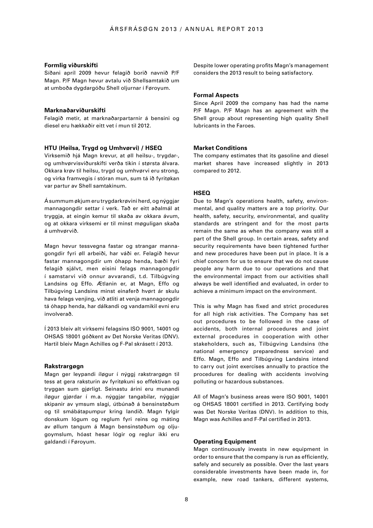#### **Formlig viðurskifti**

Síðani apríl 2009 hevur felagið borið navnið P/F Magn. P/F Magn hevur avtalu við Shellsamtakið um at umboða dygdargóðu Shell oljurnar í Føroyum.

#### **Marknaðarviðurskifti**

Felagið metir, at marknaðarpartarnir á bensini og diesel eru hækkaðir eitt vet í mun til 2012.

#### **HTU (Heilsa, Trygd og Umhvørvi) / HSEQ**

Virksemið hjá Magn krevur, at øll heilsu-, trygdar-, og umhvørvisviðurskifti verða tikin í størsta álvara. Okkara krøv til heilsu, trygd og umhvørvi eru strong, og virka framvegis í stóran mun, sum tá ið fyritøkan var partur av Shell samtakinum.

Á summum økjum eru trygdarkrøvini herd, og nýggjar mannagongdir settar í verk. Tað er eitt aðalmál at tryggja, at eingin kemur til skaða av okkara ávum, og at okkara virksemi er til minst møguligan skaða á umhvørvið.

Magn hevur tessvegna fastar og strangar mannagongdir fyri øll arbeiði, har váði er. Felagið hevur fastar mannagongdir um óhapp henda, bæði fyri felagið sjálvt, men eisini felags mannagongdir í samstarvi við onnur avvarandi, t.d. Tilbúgving Landsins og Effo. Ætlanin er, at Magn, Effo og Tilbúgving Landsins minst einaferð hvørt ár skulu hava felags venjing, við atliti at venja mannagongdir tá óhapp henda, har dálkandi og vandamikil evni eru involverað.

Í 2013 bleiv alt virksemi felagsins ISO 9001, 14001 og OHSAS 18001 góðkent av Det Norske Veritas (DNV). Hartil bleiv Magn Achilles og F-Pal skrásett í 2013.

#### **Rakstrargøgn**

Magn ger leypandi íløgur í nýggj rakstrargøgn til tess at gera raksturin av fyritøkuni so effektivan og tryggan sum gjørligt. Seinastu árini eru munandi íløgur gjørdar í m.a. nýggjar tangabilar, nýggjar skipanir av ymsum slagi, útbúnað á bensinstøðum og til smábátapumpur kring landið. Magn fylgir donskum lógum og reglum fyri reins og máting av øllum tangum á Magn bensinstøðum og oljugoymslum, hóast hesar lógir og reglur ikki eru galdandi í Føroyum.

Despite lower operating profits Magn's management considers the 2013 result to being satisfactory.

#### **Formal Aspects**

Since April 2009 the company has had the name P/F Magn. P/F Magn has an agreement with the Shell group about representing high quality Shell lubricants in the Faroes.

#### **Market Conditions**

The company estimates that its gasoline and diesel market shares have increased slightly in 2013 compared to 2012.

#### **HSEQ**

Due to Magn's operations health, safety, environmental, and quality matters are a top priority. Our health, safety, security, environmental, and quality standards are stringent and for the most parts remain the same as when the company was still a part of the Shell group. In certain areas, safety and security requirements have been tightened further and new procedures have been put in place. It is a chief concern for us to ensure that we do not cause people any harm due to our operations and that the environmental impact from our activities shall always be well identified and evaluated, in order to achieve a minimum impact on the environment.

This is why Magn has fixed and strict procedures for all high risk activities. The Company has set out procedures to be followed in the case of accidents, both internal procedures and joint external procedures in cooperation with other stakeholders, such as, Tilbúgving Landsins (the national emergency preparedness service) and Effo. Magn, Effo and Tilbúgving Landsins intend to carry out joint exercises annually to practice the procedures for dealing with accidents involving polluting or hazardous substances.

All of Magn's business areas were ISO 9001, 14001 og OHSAS 18001 certified in 2013. Certifying body was Det Norske Veritas (DNV). In addition to this, Magn was Achilles and F-Pal certified in 2013.

#### **Operating Equipment**

Magn continuously invests in new equipment in order to ensure that the company is run as efficiently, safely and securely as possible. Over the last years considerable investments have been made in, for example, new road tankers, different systems,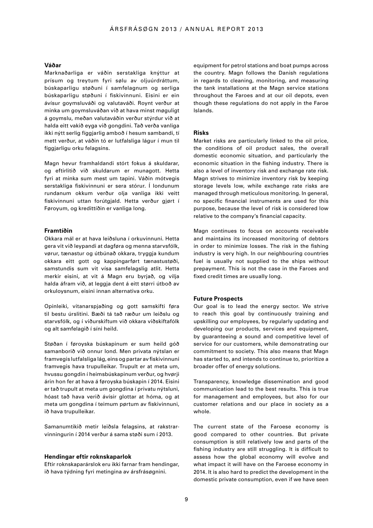#### **Váðar**

Marknaðarliga er váðin serstakliga knýttur at prísum og treytum fyri sølu av oljuúrdráttum, búskaparligu støðuni í samfelagnum og serliga búskaparligu støðuni í fiskivinnuni. Eisini er ein ávísur goymsluváði og valutaváði. Roynt verður at minka um goymsluváðan við at hava minst møguligt á goymslu, meðan valutaváðin verður stýrdur við at halda eitt vakið eyga við gongdini. Tað verða vanliga ikki nýtt serlig fíggjarlig amboð í hesum sambandi, tí mett verður, at váðin tó er lutfalsliga lágur í mun til fíggiarligu orku felagsins.

Magn hevur framhaldandi stórt fokus á skuldarar, og eftirlitið við skuldarum er munagott. Hetta fyri at minka sum mest um tapini. Váðin mótvegis serstakliga fiskivinnuni er sera stórur. Í londunum rundanum okkum verður olja vanliga ikki veitt fiskivinnuni uttan forútgjald. Hetta verður gjørt í Føroyum, og kredittíðin er vanliga long.

#### **Framtíðin**

Okkara mál er at hava leiðsluna í orkuvinnuni. Hetta gera vit við leypandi at dagføra og menna starvsfólk, vørur, tænastur og útbúnað okkara, tryggja kundum okkara eitt gott og kappingarført tænastustøði, samstundis sum vit vísa samfelagslig atlit. Hetta merkir eisini, at vit á Magn eru byrjað, og vilja halda áfram við, at leggja dent á eitt størri útboð av orkuloysnum, eisini innan alternativa orku.

Opinleiki, vitanarspjaðing og gott samskifti føra til bestu úrslitini. Bæði tá tað ræður um leiðslu og starvsfólk, og í viðurskiftum við okkara viðskiftafólk og alt samfelagið í síni heild.

Støðan í føroyska búskapinum er sum heild góð samanborið við onnur lond. Men privata nýtslan er framvegis lutfalsliga lág, eins og partar av fiskivinnuni framvegis hava trupulleikar. Trupult er at meta um, hvussu gongdin í heimsbúskapinum verður, og hvørji árin hon fer at hava á føroyska búskapin í 2014. Eisini er tað trupult at meta um gongdina í privatu nýtsluni, hóast tað hava verið ávísir glottar at hóma, og at meta um gongdina í teimum pørtum av fiskivinnuni, ið hava trupulleikar.

Samanumtikið metir leiðsla felagsins, at rakstrarvinningurin í 2014 verður á sama støði sum í 2013.

#### **Hendingar eftir roknskaparlok**

Eftir roknskaparárslok eru ikki farnar fram hendingar, ið hava týdning fyri metingina av ársfrásøgnini.

equipment for petrol stations and boat pumps across the country. Magn follows the Danish regulations in regards to cleaning, monitoring, and measuring the tank installations at the Magn service stations throughout the Faroes and at our oil depots, even though these regulations do not apply in the Faroe Islands.

#### **Risks**

Market risks are particularly linked to the oil price, the conditions of oil product sales, the overall domestic economic situation, and particularly the economic situation in the fishing industry. There is also a level of inventory risk and exchange rate risk. Magn strives to minimize inventory risk by keeping storage levels low, while exchange rate risks are managed through meticulous monitoring. In general, no specific financial instruments are used for this purpose, because the level of risk is considered low relative to the company's financial capacity.

Magn continues to focus on accounts receivable and maintains its increased monitoring of debtors in order to minimize losses. The risk in the fishing industry is very high. In our neighbouring countries fuel is usually not supplied to the ships without prepayment. This is not the case in the Faroes and fixed credit times are usually long.

#### **Future Prospects**

Our goal is to lead the energy sector. We strive to reach this goal by continuously training and upskilling our employees, by regularly updating and developing our products, services and equipment, by guaranteeing a sound and competitive level of service for our customers, while demonstrating our commitment to society. This also means that Magn has started to, and intends to continue to, prioritize a broader offer of energy solutions.

Transparency, knowledge dissemination and good communication lead to the best results. This is true for management and employees, but also for our customer relations and our place in society as a whole.

The current state of the Faroese economy is good compared to other countries. But private consumption is still relatively low and parts of the fishing industry are still struggling. It is difficult to assess how the global economy will evolve and what impact it will have on the Faroese economy in 2014. It is also hard to predict the development in the domestic private consumption, even if we have seen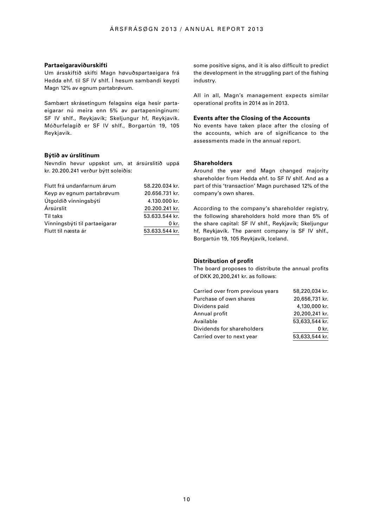#### **Partaeigaraviðurskifti**

Um ársskiftið skifti Magn høvuðspartaeigara frá Hedda ehf. til SF IV shlf. Í hesum sambandi keypti Magn 12% av egnum partabrøvum.

Sambært skrásetingum felagsins eiga hesir partaeigarar nú meira enn 5% av partapeninginum: SF IV shlf., Reykjavík; Skeljungur hf, Reykjavík. Móðurfelagið er SF IV shlf., Borgartún 19, 105 Reykjavík.

#### **Býtið av úrslitinum**

Nevndin hevur uppskot um, at ársúrslitið uppá kr. 20.200.241 verður býtt soleiðis:

| Flutt frá undanfarnum árum    | 58.220.034 kr. |
|-------------------------------|----------------|
| Keyp av egnum partabrøvum     | 20.656.731 kr. |
| Útgoldið vinningsbýti         | 4.130.000 kr.  |
| Ársúrslit                     | 20.200.241 kr. |
| Til taks                      | 53.633.544 kr. |
| Vinningsbýti til partaeigarar | 0 kr.          |
| Flutt til næsta ár            | 53.633.544 kr. |

some positive signs, and it is also difficult to predict the development in the struggling part of the fishing industry.

All in all, Magn's management expects similar operational profits in 2014 as in 2013.

#### **Events after the Closing of the Accounts**

No events have taken place after the closing of the accounts, which are of significance to the assessments made in the annual report.

#### **Shareholders**

Around the year end Magn changed majority shareholder from Hedda ehf. to SF IV shlf. And as a part of this 'transaction' Magn purchased 12% of the company's own shares.

According to the company's shareholder registry, the following shareholders hold more than 5% of the share capital: SF IV shlf., Reykjavík; Skeljungur hf, Reykjavík. The parent company is SF IV shlf., Borgartún 19, 105 Reykjavík, Iceland.

#### **Distribution of profit**

The board proposes to distribute the annual profits of DKK 20,200,241 kr. as follows:

| Carried over from previous years | 58,220,034 kr. |
|----------------------------------|----------------|
| Purchase of own shares           | 20,656,731 kr. |
| Dividens paid                    | 4,130,000 kr.  |
| Annual profit                    | 20,200,241 kr. |
| Available                        | 53.633.544 kr. |
| Dividends for shareholders       | 0 kr.          |
| Carried over to next year        | 53,633,544 kr. |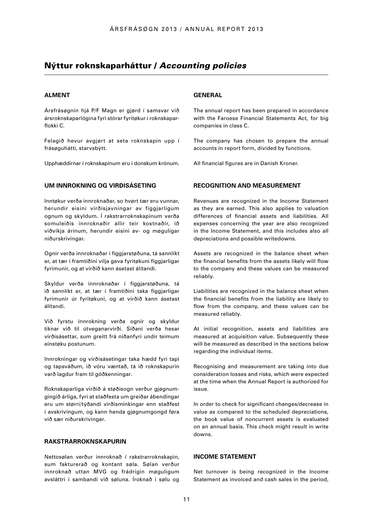# Nýttur roknskaparháttur / *Accounting policies*

#### **ALMENT**

Ársfrásøgnin hjá P/F Magn er gjørd í samsvar við ársroknskaparlógina fyri stórar fyritøkur í roknskaparflokki C.

Felagið hevur avgjørt at seta roknskapin upp í frásøguhátti, starvsbýtt.

Upphæddirnar í roknskapinum eru í donskum krónum.

### **UM INNROKNING OG VIRÐISÁSETING**

Inntøkur verða innroknaðar, so hvørt tær eru vunnar, herundir eisini virðisjavningar av fíggjarligum ognum og skyldum. Í rakstrarroknskapinum verða somuleiðis innroknaðir allir teir kostnaðir, ið viðvíkja árinum, herundir eisini av- og møguligar niðurskrivingar.

Ognir verða innroknaðar í fíggjarstøðuna, tá sannlíkt er, at tær í framtíðini vilja geva fyritøkuni fíggjarligar fyrimunir, og at virðið kann ásetast álítandi.

Skyldur verða innroknaðar í fíggjarstøðuna, tá ið sannlíkt er, at tær í framtíðini taka fíggjarligar fyrimunir úr fyritøkuni, og at virðið kann ásetast álítandi.

Við fyrstu innrokning verða ognir og skyldur tiknar við til útveganarvirði. Síðani verða hesar virðisásettar, sum greitt frá niðanfyri undir teimum einstøku postunum.

Innrokningar og virðisásetingar taka hædd fyri tapi og tapsváðum, ið vóru væntað, tá ið roknskapurin varð lagdur fram til góðkenningar.

Roknskaparliga virðið á støðisogn verður gjøgnumgingið árliga, fyri at staðfesta um greiðar ábendingar eru um størri/týðandi virðisminkingar enn staðfest í avskrivingum, og kann henda gjøgnumgongd føra við sær niðurskrivingar.

#### **RAKSTRARROKNSKAPURIN**

Nettosølan verður innroknað í rakstrarroknskapin, sum fakturerað og kontant søla. Sølan verður innroknað uttan MVG og frádrigin møguligum avsláttri í sambandi við søluna. Íroknað í sølu og

### **GENERAL**

The annual report has been prepared in accordance with the Faroese Financial Statements Act, for big companies in class C.

The company has chosen to prepare the annual accounts in report form, divided by functions.

All financial figures are in Danish Kroner.

#### **RECOGNITION AND MEASUREMENT**

Revenues are recognized in the Income Statement as they are earned. This also applies to valuation differences of financial assets and liabilities. All expenses concerning the year are also recognized in the Income Statement, and this includes also all depreciations and possible writedowns.

Assets are recognized in the balance sheet when the financial benefits from the assets likely will flow to the company and these values can be measured reliably.

Liabilities are recognized in the balance sheet when the financial benefits from the liability are likely to flow from the company, and these values can be measured reliably.

At initial recognition, assets and liabilities are measured at acquisition value. Subsequently these will be measured as described in the sections below regarding the individual items.

Recognising and measurement are taking into due consideration losses and risks, which were expected at the time when the Annual Report is authorized for issue.

In order to check for significant changes/decrease in value as compared to the scheduled depreciations, the book value of noncurrent assets is evaluated on an annual basis. This check might result in write downs.

### **INCOME STATEMENT**

Net turnover is being recognized in the Income Statement as invoiced and cash sales in the period,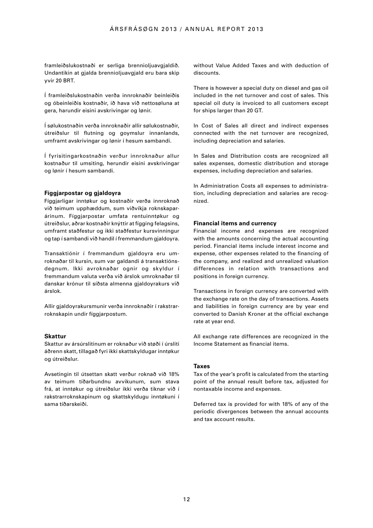framleiðslukostnaði er serliga brennioljuavgjaldið. Undantikin at gjalda brennioljuavgjald eru bara skip yvir 20 BRT.

Í framleiðslukostnaðin verða innroknaðir beinleiðis og óbeinleiðis kostnaðir, ið hava við nettosøluna at gera, harundir eisini avskrivingar og lønir.

Í sølukostnaðin verða innroknaðir allir sølukostnaðir, útreiðslur til flutning og goymslur innanlands, umframt avskrivingar og lønir í hesum sambandi.

Í fyrisitingarkostnaðin verður innroknaður allur kostnaður til umsiting, herundir eisini avskrivingar og lønir í hesum sambandi.

#### **Fíggjarpostar og gjaldoyra**

Fíggjarligar inntøkur og kostnaðir verða innroknað við teimum upphæddum, sum viðvíkja roknskaparárinum. Fíggjarpostar umfata rentuinntøkur og útreiðslur, aðrar kostnaðir knýttir at fígging felagsins, umframt staðfestur og ikki staðfestur kursvinningur og tap í sambandi við handil í fremmandum gjaldoyra.

Transaktiónir í fremmandum gjaldovra eru umroknaðar til kursin, sum var galdandi á transaktiónsdegnum. Ikki avroknaðar ognir og skyldur í fremmandum valuta verða við árslok umroknaðar til danskar krónur til síðsta almenna gjaldoyrakurs við árslok.

Allir gjaldoyrakursmunir verða innroknaðir í rakstrarroknskapin undir fíggjarpostum.

#### **Skattur**

Skattur av ársúrslitinum er roknaður við støði í úrsliti áðrenn skatt, tillagað fyri ikki skattskyldugar inntøkur og útreiðslur.

Avsetingin til útsettan skatt verður roknað við 18% av teimum tíðarbundnu avvikunum, sum stava frá, at inntøkur og útreiðslur ikki verða tiknar við í rakstrarroknskapinum og skattskyldugu inntøkuni í sama tíðarskeiði.

without Value Added Taxes and with deduction of discounts.

There is however a special duty on diesel and gas oil included in the net turnover and cost of sales. This special oil duty is invoiced to all customers except for ships larger than 20 GT.

In Cost of Sales all direct and indirect expenses connected with the net turnover are recognized, including depreciation and salaries.

In Sales and Distribution costs are recognized all sales expenses, domestic distribution and storage expenses, including depreciation and salaries.

In Administration Costs all expenses to administration, including depreciation and salaries are recognized.

#### **Financial items and currency**

Financial income and expenses are recognized with the amounts concerning the actual accounting period. Financial items include interest income and expense, other expenses related to the financing of the company, and realized and unrealized valuation differences in relation with transactions and positions in foreign currency.

Transactions in foreign currency are converted with the exchange rate on the day of transactions. Assets and liabilities in foreign currency are by year end converted to Danish Kroner at the official exchange rate at year end.

All exchange rate differences are recognized in the Income Statement as financial items.

#### **Taxes**

Tax of the year's profit is calculated from the starting point of the annual result before tax, adjusted for nontaxable income and expenses.

Deferred tax is provided for with 18% of any of the periodic divergences between the annual accounts and tax account results.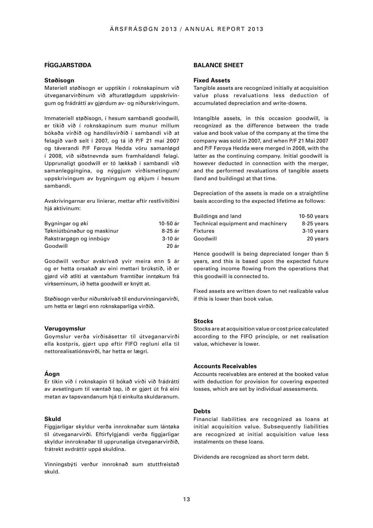### **FÍGGJARSTØÐA**

#### **Støðisogn**

Materiell støðisogn er upptikin í roknskapinum við útveganarvirðinum við afturatløgdum uppskrivingum og frádrátti av gjørdum av- og niðurskrivingum.

Immateriell støðisogn, í hesum sambandi goodwill, er tikið við í roknskapinum sum munur millum bókaða virðið og handilsvirðið í sambandi við at felagið varð selt í 2007, og tá ið P/F 21 mai 2007 og táverandi P/F Føroya Hedda vóru samanløgd í 2008, við síðstnevnda sum framhaldandi felagi. Upprunaligt goodwill er tó lækkað í sambandi við samanleggingina, og nýggjum virðismetingum/ uppskrivingum av bygningum og økjum í hesum sambandi.

Avskrivingarnar eru linierar, mettar eftir restlivitíðini hiá aktivinum:

| Bygningar og øki           | 10-50 ár |
|----------------------------|----------|
| Tøkniútbúnaður og maskinur | 8-25 ár  |
| Rakstrargøgn og innbúgv    | 3-10 ár  |
| Goodwill                   | 20 ár    |

Goodwill verður avskrivað yvir meira enn 5 ár og er hetta orsakað av eini mettari brúkstíð, ið er gjørd við atliti at væntaðum framtíðar inntøkum frá virkseminum, ið hetta goodwill er knýtt at.

Støðisogn verður niðurskrivað til endurvinningarvirði, um hetta er lægri enn roknskaparliga virðið.

#### **Vørugoymslur**

Goymslur verða virðisásettar til útveganarvirði ella kostprís, gjørt upp eftir FIFO regluni ella til nettorealisatiónsvirði, har hetta er lægri.

#### **Áogn**

Er tikin við í roknskapin til bókað virði við frádrátti av avsetingum til væntað tap, ið er gjørt út frá eini metan av tapsvandanum hjá tí einkulta skuldaranum.

#### **Skuld**

Fíggjarligar skyldur verða innroknaðar sum lántøka til útveganarvirði. Eftirfylgjandi verða fíggjarligar skyldur innroknaðar til upprunaliga útveganarvirðið, frátrekt avdráttir uppá skuldina.

Vinningsbýti verður innroknað sum stuttfreistað skuld.

#### **BALANCE SHEET**

#### **Fixed Assets**

Tangible assets are recognized initially at acquisition value pluss revaluations less deduction of accumulated depreciation and write-downs.

Intangible assets, in this occasion goodwill, is recognized as the difference between the trade value and book value of the company at the time the company was sold in 2007, and when P/F 21 Mai 2007 and P/F Føroya Hedda were merged in 2008, with the latter as the continuing company. Initial goodwill is however deducted in connection with the merger, and the performed revaluations of tangible assets (land and buildings) at that time.

Depreciation of the assets is made on a straightline basis according to the expected lifetime as follows:

| Buildings and land                | $10-50$ years |
|-----------------------------------|---------------|
| Technical equipment and machinery | 8-25 years    |
| <b>Fixtures</b>                   | $3-10$ years  |
| Goodwill                          | 20 years      |

Hence goodwill is being depreciated longer than 5 years, and this is based upon the expected future operating income flowing from the operations that this goodwill is connected to.

Fixed assets are written down to net realizable value if this is lower than book value.

#### **Stocks**

Stocks are at acquisition value or cost price calculated according to the FIFO principle, or net realisation value, whichever is lower.

#### **Accounts Receivables**

Accounts receivables are entered at the booked value with deduction for provision for covering expected losses, which are set by individual assessments.

#### **Debts**

Financial liabilities are recognized as loans at initial acquisition value. Subsequently liabilities are recognized at initial acquisition value less instalments on these loans.

Dividends are recognized as short term debt.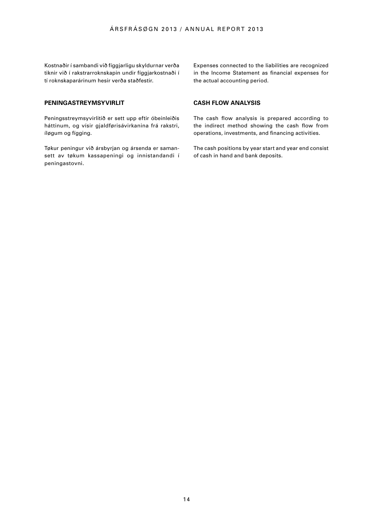Kostnaðir í sambandi við fíggjarligu skyldurnar verða tiknir við í rakstrarroknskapin undir fíggjarkostnaði í tí roknskaparárinum hesir verða staðfestir.

**PENINGASTREYMSYVIRLIT** 

Peningsstreymsyvirlitið er sett upp eftir óbeinleiðis háttinum, og vísir gjaldførisávirkanina frá rakstri, íløgum og fígging.

Tøkur peningur við ársbyrjan og ársenda er samansett av tøkum kassapeningi og innistandandi í peningastovni.

Expenses connected to the liabilities are recognized in the Income Statement as financial expenses for the actual accounting period.

### **CASH FLOW ANALYSIS**

The cash flow analysis is prepared according to the indirect method showing the cash flow from operations, investments, and financing activities.

The cash positions by year start and year end consist of cash in hand and bank deposits.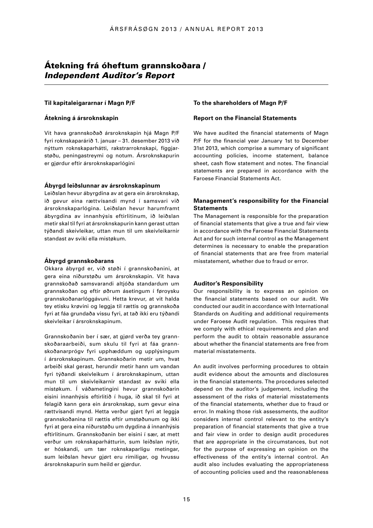# Átekning frá óheftum grannskoðara / *Independent Auditor's Report*

#### **Til kapitaleigararnar í Magn P/F**

#### **Átekning á ársroknskapin**

Vit hava grannskoðað ársroknskapin hjá Magn P/F fyri roknskaparárið 1. januar – 31. desember 2013 við nýttum roknskaparhátti, rakstrarroknskapi, fíggjarstøðu, peningastreymi og notum. Ársroknskapurin er gjørdur eftir ársroknskaparlógini

#### **Ábyrgd leiðslunnar av ársroknskapinum**

Leiðslan hevur ábyrgdina av at gera ein ársroknskap, ið gevur eina rættvísandi mynd í samsvari við ársroknskaparlógina. Leiðslan hevur harumframt ábyrgdina av innanhýsis eftirlitinum, ið leiðslan metir skal til fyri at ársroknskapurin kann gerast uttan týðandi skeivleikar, uttan mun til um skeivleikarnir standast av sviki ella mistøkum.

### **Ábyrgd grannskoðarans**

Okkara ábyrgd er, við støði í grannskoðanini, at gera eina niðurstøðu um ársroknskapin. Vit hava grannskoðað samsvarandi altjóða standardum um grannskoðan og eftir øðrum ásetingum í føroysku grannskoðanarlóggávuni. Hetta krevur, at vit halda tey etisku krøvini og leggja til rættis og grannskoða fyri at fáa grundaða vissu fyri, at tað ikki eru týðandi skeivleikar í ársroknskapinum.

Grannskoðanin ber í sær, at gjørd verða tey grannskoðaraarbeiði, sum skulu til fyri at fáa grannskoðanarprógv fyri upphæddum og upplýsingum í ársroknskapinum. Grannskoðarin metir um, hvat arbeiði skal gerast, herundir metir hann um vandan fyri týðandi skeivleikum í ársroknskapinum, uttan mun til um skeivleikarnir standast av sviki ella mistøkum. Í váðametingini hevur grannskoðarin eisini innanhýsis eftirlitið í huga, ið skal til fyri at felagið kann gera ein ársroknskap, sum gevur eina rættvísandi mynd. Hetta verður gjørt fyri at leggja grannskoðanina til rættis eftir umstøðunum og ikki fyri at gera eina niðurstøðu um dygdina á innanhýsis eftirlitinum. Grannskoðanin ber eisini í sær, at mett verður um roknskaparhátturin, sum leiðslan nýtir, er hóskandi, um tær roknskaparligu metingar, sum leiðslan hevur gjørt eru rímiligar, og hvussu ársroknskapurin sum heild er gjørdur.

#### **To the shareholders of Magn P/F**

#### **Report on the Financial Statements**

We have audited the financial statements of Magn P/F for the financial year January 1st to December 31st 2013, which comprise a summary of significant accounting policies, income statement, balance sheet, cash flow statement and notes. The financial statements are prepared in accordance with the Faroese Financial Statements Act.

### **Management's responsibility for the Financial Statements**

The Management is responsible for the preparation of financial statements that give a true and fair view in accordance with the Faroese Financial Statements Act and for such internal control as the Management determines is necessary to enable the preparation of financial statements that are free from material misstatement, whether due to fraud or error.

#### **Auditor's Responsibility**

Our responsibility is to express an opinion on the financial statements based on our audit. We conducted our audit in accordance with International Standards on Auditing and additional requirements under Faroese Audit regulation. This requires that we comply with ethical requirements and plan and perform the audit to obtain reasonable assurance about whether the financial statements are free from material misstatements.

An audit involves performing procedures to obtain audit evidence about the amounts and disclosures in the financial statements. The procedures selected depend on the auditor's judgement, including the assessment of the risks of material misstatements of the financial statements, whether due to fraud or error. In making those risk assessments, the auditor considers internal control relevant to the entity's preparation of financial statements that give a true and fair view in order to design audit procedures that are appropriate in the circumstances, but not for the purpose of expressing an opinion on the effectiveness of the entity's internal control. An audit also includes evaluating the appropriateness of accounting policies used and the reasonableness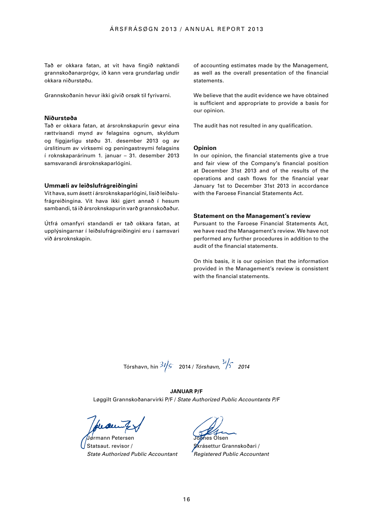Tað er okkara fatan, at vit hava fingið nøktandi grannskoðanarprógv, ið kann vera grundarlag undir okkara niðurstøðu.

Grannskoðanin hevur ikki givið orsøk til fyrivarni.

#### **Niðurstøða**

Tað er okkara fatan, at ársroknskapurin gevur eina rættvísandi mynd av felagsins ognum, skyldum og fíggjarligu støðu 31. desember 2013 og av úrslitinum av virksemi og peningastreymi felagsins í roknskaparárinum 1. januar – 31. desember 2013 samsvarandi ársroknskaparlógini.

#### **Ummæli av leiðslufrágreiðingini**

Vit hava, sum ásett í ársroknskaparlógini, lisið leiðslufrágreiðingina. Vit hava ikki gjørt annað í hesum sambandi, tá ið ársroknskapurin varð grannskoðaður.

Útfrá omanfyri standandi er tað okkara fatan, at upplýsingarnar í leiðslufrágreiðingini eru í samsvari við ársroknskapin.

of accounting estimates made by the Management, as well as the overall presentation of the financial statements.

We believe that the audit evidence we have obtained is sufficient and appropriate to provide a basis for our opinion.

The audit has not resulted in any qualification.

#### **Opinion**

In our opinion, the financial statements give a true and fair view of the Company's financial position at December 31st 2013 and of the results of the operations and cash flows for the financial year January 1st to December 31st 2013 in accordance with the Faroese Financial Statements Act.

#### **Statement on the Management's review**

Pursuant to the Faroese Financial Statements Act, we have read the Management's review. We have not performed any further procedures in addition to the audit of the financial statements.

On this basis, it is our opinion that the information provided in the Management's review is consistent with the financial statements.

Tórshavn, hin 2014 / *Tórshavn, 2014* 

#### **Januar P/F**

Løggilt Grannskoðanarvirki P/F / *State Authorized Public Accountants P/F*

Jørmann Petersen Statsaut. revisor / *State Authorized Public Accountant* 

Jóanes Olsen

krásettur Grannskoðari / *Registered Public Accountant*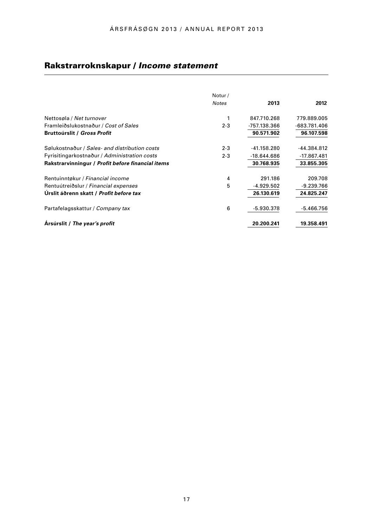# Rakstrarroknskapur / *Income statement*

|                                                   | Notur/       |               |               |
|---------------------------------------------------|--------------|---------------|---------------|
|                                                   | <b>Notes</b> | 2013          | 2012          |
| Nettosøla / Net turnover                          | 1            | 847.710.268   | 779.889.005   |
| Framleiðslukostnaður / Cost of Sales              | $2 - 3$      | -757.138.366  | -683.781.406  |
| <b>Bruttoúrslit / Gross Profit</b>                |              | 90.571.902    | 96.107.598    |
| Sølukostnaður / Sales- and distribution costs     | $2 - 3$      | $-41.158.280$ | -44.384.812   |
| Fyrisitingarkostnaður / Administration costs      | $2 - 3$      | $-18.644.686$ | $-17.867.481$ |
| Rakstrarvinningur / Profit before financial items |              | 30.768.935    | 33.855.305    |
| Rentuinntøkur / Financial income                  | 4            | 291.186       | 209.708       |
| Rentuútreiðslur / Financial expenses              | 5            | $-4.929.502$  | $-9.239.766$  |
| Urslit áðrenn skatt / Profit before tax           |              | 26.130.619    | 24.825.247    |
| Partafelagsskattur / Company tax                  | 6            | $-5.930.378$  | $-5.466.756$  |
| Arsúrslit / The year's profit                     |              | 20.200.241    | 19.358.491    |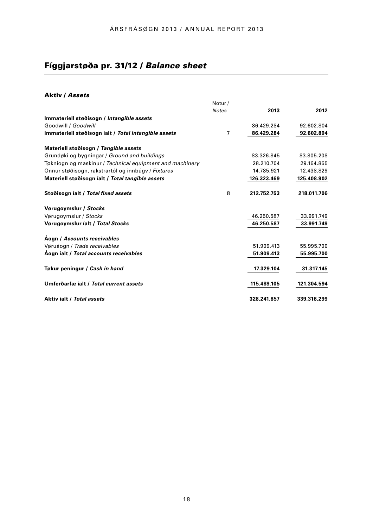# Fíggjarstøða pr. 31/12 / *Balance sheet*

# Aktiv / *Assets*

|                                                          | Notur/       |             |             |
|----------------------------------------------------------|--------------|-------------|-------------|
|                                                          | <b>Notes</b> | 2013        | 2012        |
| Immateriell støðisogn / Intangible assets                |              |             |             |
| Goodwill / Goodwill                                      |              | 86.429.284  | 92.602.804  |
| Immateriell støðisogn íalt / Total intangible assets     | 7            | 86.429.284  | 92.602.804  |
| Materiell støðisogn / Tangible assets                    |              |             |             |
| Grundøki og bygningar / Ground and buildings             |              | 83.326.845  | 83.805.208  |
| Tøkniogn og maskinur / Technical equipment and machinery |              | 28.210.704  | 29.164.865  |
| Onnur støðisogn, rakstrartól og innbúgy / Fixtures       |              | 14.785.921  | 12.438.829  |
| Materiell støðisogn íalt / Total tangible assets         |              | 126.323.469 | 125.408.902 |
| Støðisogn íalt / Total fixed assets                      | 8            | 212.752.753 | 218.011.706 |
| Vørugoymslur / Stocks                                    |              |             |             |
| Vørugoymslur / Stocks                                    |              | 46.250.587  | 33.991.749  |
| Vørugoymslur íalt / Total Stocks                         |              | 46.250.587  | 33.991.749  |
| Aogn / Accounts receivables                              |              |             |             |
| Vøruáogn / Trade receivables                             |              | 51.909.413  | 55.995.700  |
| Áogn íalt / Total accounts receivables                   |              | 51.909.413  | 55.995.700  |
| Tøkur peningur / Cash in hand                            |              | 17.329.104  | 31.317.145  |
| Umferðarfæ íalt / Total current assets                   |              | 115.489.105 | 121.304.594 |
| Aktiv íalt / Total assets                                |              | 328.241.857 | 339.316.299 |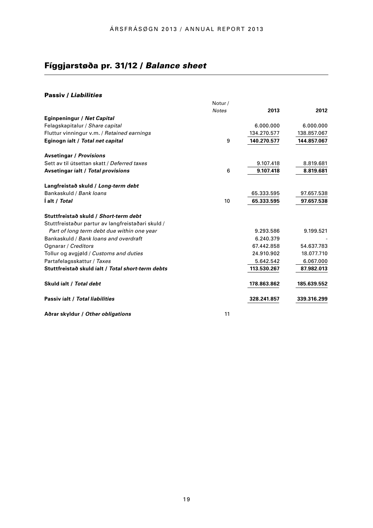# Fíggjarstøða pr. 31/12 / *Balance sheet*

## Passiv / *Liabilities*

| 2013<br>6.000.000 | 2012        |
|-------------------|-------------|
|                   |             |
|                   |             |
|                   | 6.000.000   |
| 134.270.577       | 138.857.067 |
| 140.270.577       | 144.857.067 |
|                   |             |
| 9.107.418         | 8.819.681   |
| 9.107.418         | 8.819.681   |
|                   |             |
| 65.333.595        | 97.657.538  |
| 65.333.595        | 97.657.538  |
|                   |             |
|                   |             |
| 9.293.586         | 9.199.521   |
| 6.240.379         |             |
| 67.442.858        | 54.637.783  |
| 24.910.902        | 18.077.710  |
| 5.642.542         | 6.067.000   |
| 113.530.267       | 87.982.013  |
| 178.863.862       | 185.639.552 |
| 328.241.857       | 339.316.299 |
|                   |             |

**Aðrar skyldur /** *Other obligations*

11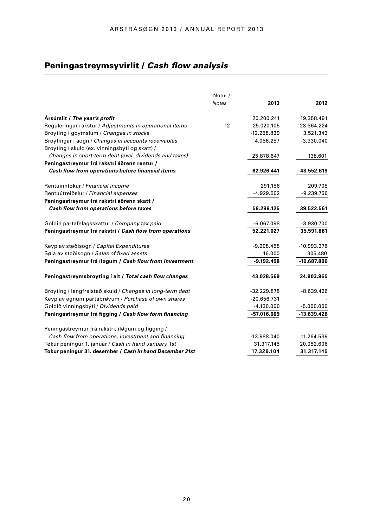# Peningastreymsyvirlit / *Cash flow analysis*

|                                                           | Notur/       |               |               |
|-----------------------------------------------------------|--------------|---------------|---------------|
|                                                           | <b>Notes</b> | 2013          | 2012          |
| Arsúrslit / The year's profit                             |              | 20.200.241    | 19.358.491    |
| Reguleringar rakstur / Adjustments in operational items   | 12           | 25.020.105    | 28.864.224    |
| Broyting i goymslum / Changes in stocks                   |              | $-12.258.839$ | 3.521.343     |
| Broytingar í áogn / Changes in accounts receivables       |              | 4.086.287     | $-3.330.040$  |
| Broyting í skuld (ex. vinningsbýti og skatt) /            |              |               |               |
| Changes in short-term debt (excl. dividends and taxes)    |              | 25.878.647    | 138.601       |
| Peningastreymur frá rakstri áðrenn rentur /               |              |               |               |
| Cash flow from operations before financial items          |              | 62.926.441    | 48.552.619    |
| Rentuinntøkur / Financial income                          |              | 291.186       | 209.708       |
| Rentuútreiðslur / Financial expenses                      |              | $-4.929.502$  | $-9.239.766$  |
| Peningastreymur frá rakstri áðrenn skatt /                |              |               |               |
| Cash flow from operations before taxes                    |              | 58.288.125    | 39.522.561    |
| Goldin partafelagsskattur / Company tax paid              |              | $-6.067.098$  | $-3.930.700$  |
| Peningastreymur frá rakstri / Cash flow from operations   |              | 52.221.027    | 35.591.861    |
| Keyp av støðisogn / Capital Expenditures                  |              | $-9.208.458$  | $-10.993.376$ |
| Søla av støðisogn / Sales of fixed assets                 |              | 16.000        | 305.480       |
| Peningastreymur frá íløgum / Cash flow from investment    |              | $-9.192.458$  | -10.687.896   |
| Peningastreymsbroyting i alt / Total cash flow changes    |              | 43.028.569    | 24.903.965    |
| Broyting í langfreistað skuld / Changes in long-term debt |              | $-32.229.878$ | $-8.639.426$  |
| Keyp av egnum partabrøvum / Purchase of own shares        |              | $-20.656.731$ |               |
| Goldið vinningsbýti / Dividends paid                      |              | $-4.130.000$  | $-5.000.000$  |
| Peningastreymur frá fígging / Cash flow form financing    |              | -57.016.609   | $-13.639.426$ |
| Peningastreymur frá rakstri, íløgum og fígging /          |              |               |               |
| Cash flow from operations, investment and financing       |              | $-13.988.040$ | 11.264.539    |
| Tøkur peningur 1. januar / Cash in hand January 1st       |              | 31.317.145    | 20.052.606    |
| Tøkur peningur 31. desember / Cash in hand December 31st  |              | 17.329.104    | 31.317.145    |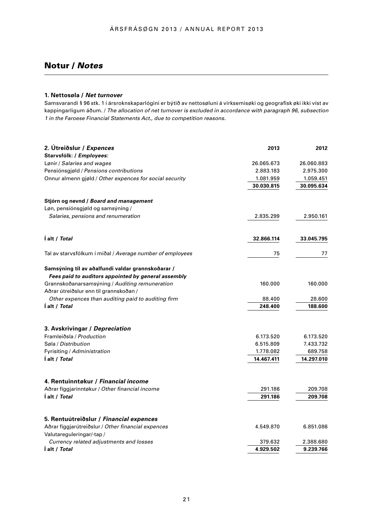# Notur / *Notes*

### **1. Nettosøla /** *Net turnover*

Samsvarandi § 96 stk. 1 í ársroknskaparlógini er býtið av nettosøluni á virksemisøki og geografisk øki ikki víst av kappingarligum áðum. / *The allocation of net turnover is excluded in accordance with paragraph 96, subsection 1 in the Faroese Financial Statements Act., due to competition reasons.*

| 2. Útreiðslur / Expences                                   | 2013                   | 2012                   |  |
|------------------------------------------------------------|------------------------|------------------------|--|
| Starvsfólk: / Employees:                                   | 26.065.673             |                        |  |
| Lønir / Salaries and wages                                 |                        | 26.060.883             |  |
| Pensiónsgiøld / Pensions contributions                     | 2.883.183              | 2.975.300              |  |
| Onnur almenn gjøld / Other expences for social security    | 1.081.959              | 1.059.451              |  |
|                                                            | 30.030.815             | 30.095.634             |  |
| Stjórn og nevnd / Board and management                     |                        |                        |  |
| Løn, pensiónsgjøld og samsýning /                          |                        |                        |  |
| Salaries, pensions and renumeration                        | 2.835.299              | 2.950.161              |  |
|                                                            |                        |                        |  |
| l alt / Total                                              | 32.866.114             | 33.045.795             |  |
| Tal av starvsfólkum í miðal / Average number of employees  | 75                     | 77                     |  |
| Samsýning til av aðalfundi valdar grannskoðarar /          |                        |                        |  |
| Fees paid to auditors appointed by general assembly        |                        | 160.000<br>28.600      |  |
| Grannskoðanarsamsýning / Auditing remuneration             | 160.000                |                        |  |
| Aðrar útreiðslur enn til grannskoðan /                     |                        |                        |  |
| Other expences than auditing paid to auditing firm         | 88.400                 |                        |  |
| l alt / Total                                              | 248.400                | 188.600                |  |
|                                                            |                        |                        |  |
| 3. Avskrivingar / Depreciation<br>Framleiðsla / Production |                        |                        |  |
| Søla / Distribution                                        | 6.173.520<br>6.515.809 | 6.173.520<br>7.433.732 |  |
| Fyrisiting / Administration                                | 1.778.082              | 689.758                |  |
| l alt / Total                                              | 14.467.411             | 14.297.010             |  |
|                                                            |                        |                        |  |
| 4. Rentuinntøkur / Financial income                        |                        |                        |  |
| Aðrar fíggjarinntøkur / Other financial income             | 291.186                | 209.708                |  |
| I alt / Total                                              | 291.186                | 209.708                |  |
| 5. Rentuútreiðslur / Financial expences                    |                        |                        |  |
| Aðrar fíggjarútreiðslur / Other financial expences         | 4.549.870              | 6.851.086              |  |
| Valutareguleringar/-tap /                                  |                        |                        |  |
| Currency related adjustments and losses                    | 379.632                | 2.388.680              |  |
| l alt / Total                                              | 4.929.502              | 9.239.766              |  |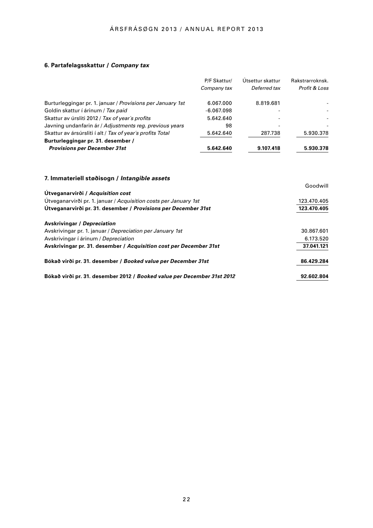# **6. Partafelagsskattur /** *Company tax*

|                                                            | P/F Skattur/ | Ütsettur skattur | Rakstrarroknsk. |
|------------------------------------------------------------|--------------|------------------|-----------------|
|                                                            | Company tax  | Deferred tax     | Profit & Loss   |
| Burturleggingar pr. 1. januar / Provisions per January 1st | 6.067.000    | 8.819.681        |                 |
| Goldin skattur í árinum / Tax paid                         | $-6.067.098$ |                  |                 |
| Skattur av úrsliti 2012 / Tax of year's profits            | 5.642.640    |                  |                 |
| Javning undanfarin ár / Adjustments reg. previous years    | 98           |                  |                 |
| Skattur av ársúrsliti í alt / Tax of year's profits Total  | 5.642.640    | 287.738          | 5.930.378       |
| Burturleggingar pr. 31. desember /                         |              |                  |                 |
| <b>Provisions per December 31st</b>                        | 5.642.640    | 9.107.418        | 5.930.378       |

# **7. Immateriell støðisogn /** *Intangible assets*

|                                                                         | Goodwill    |
|-------------------------------------------------------------------------|-------------|
| Útveganarvirði / Acquisition cost                                       |             |
| Utveganarvirði pr. 1. januar / Acquisition costs per January 1st        | 123.470.405 |
| Utveganarvirði pr. 31. desember / Provisions per December 31st          | 123.470.405 |
| <b>Avskrivingar / Depreciation</b>                                      |             |
| Avskrivingar pr. 1. januar / Depreciation per January 1st               | 30.867.601  |
| Avskrivingar í árinum / Depreciation                                    | 6.173.520   |
| Avskrivingar pr. 31. desember / Acquisition cost per December 31st      | 37.041.121  |
| Bókað virði pr. 31. desember / Booked value per December 31st           | 86.429.284  |
| Bókað virði pr. 31. desember 2012 / Booked value per December 31st 2012 | 92.602.804  |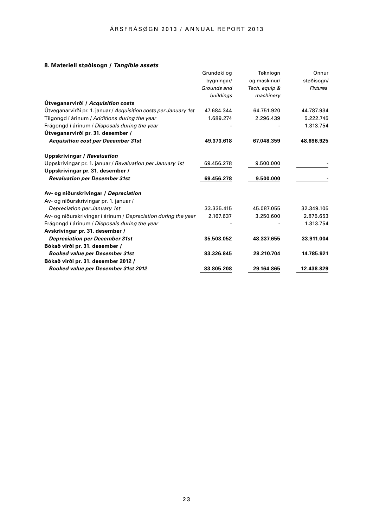# **8. Materiell støðisogn /** *Tangible assets*

| o. materien støvisvyn / <i>rangible assets</i>                   |             |               |                 |
|------------------------------------------------------------------|-------------|---------------|-----------------|
|                                                                  | Grundøki og | Tøkniogn      | Onnur           |
|                                                                  | bygningar/  | og maskinur/  | støðisogn/      |
|                                                                  | Grounds and | Tech. equip & | <b>Fixtures</b> |
|                                                                  | buildings   | machinery     |                 |
| Útveganarvirði / Acquisition costs                               |             |               |                 |
| Útveganarvirði pr. 1. januar / Acquisition costs per January 1st | 47.684.344  | 64.751.920    | 44.787.934      |
| Tilgongd í árinum / Additions during the year                    | 1.689.274   | 2.296.439     | 5.222.745       |
| Frágongd í árinum / Disposals during the year                    |             |               | 1.313.754       |
| Útveganarvirði pr. 31. desember /                                |             |               |                 |
| <b>Acquisition cost per December 31st</b>                        | 49.373.618  | 67.048.359    | 48.696.925      |
| <b>Uppskrivingar / Revaluation</b>                               |             |               |                 |
| Uppskrivingar pr. 1. januar / Revaluation per January 1st        | 69.456.278  | 9.500.000     |                 |
| Uppskrivingar pr. 31. desember /                                 |             |               |                 |
| <b>Revaluation per December 31st</b>                             | 69.456.278  | 9.500.000     |                 |
| Av- og niðurskrivingar / Depreciation                            |             |               |                 |
| Av- og niðurskrivingar pr. 1. januar /                           |             |               |                 |
| Depreciation per January 1st                                     | 33.335.415  | 45.087.055    | 32.349.105      |
| Av- og niðurskrivingar í árinum / Depreciation during the year   | 2.167.637   | 3.250.600     | 2.875.653       |
| Frágongd í árinum / Disposals during the year                    |             |               | 1.313.754       |
| Avskrivingar pr. 31. desember /                                  |             |               |                 |
| <b>Depreciation per December 31st</b>                            | 35.503.052  | 48.337.655    | 33.911.004      |
| Bókað virði pr. 31. desember /                                   |             |               |                 |
| <b>Booked value per December 31st</b>                            | 83.326.845  | 28.210.704    | 14.785.921      |
| Bókað virði pr. 31. desember 2012 /                              |             |               |                 |
| <b>Booked value per December 31st 2012</b>                       | 83.805.208  | 29.164.865    | 12.438.829      |
|                                                                  |             |               |                 |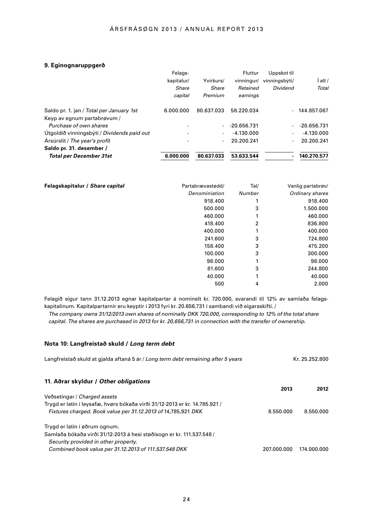### **9. Eginognaruppgerð**

| Felags-    |            | <b>Fluttur</b> | Uppskot til              |                |
|------------|------------|----------------|--------------------------|----------------|
| kapitalur/ | Yvirkurs/  | vinningur/     | vinningsbýti/            | alt /          |
| Share      | Share      | Retained       | Dividend                 | Total          |
| capital    | Premium    | earnings       |                          |                |
| 6.000.000  | 80.637.033 | 58.220.034     |                          | $-144.857.067$ |
|            |            |                |                          |                |
|            |            | $-20.656.731$  | $\overline{\phantom{0}}$ | -20.656.731    |
|            |            | $-4.130.000$   |                          | $-4.130.000$   |
|            |            | 20.200.241     |                          | 20.200.241     |
|            |            |                |                          |                |
| 6.000.000  | 80.637.033 | 53.633.544     |                          | 140.270.577    |
|            |            |                |                          |                |

| Felagskapitalur / Share capital | Partabrævastødd/ | Tal/   | Vanlig partabrøv/ |
|---------------------------------|------------------|--------|-------------------|
|                                 | Denominiation    | Number | Ordinary shares   |
|                                 | 918.400          |        | 918.400           |
|                                 | 500.000          | 3      | 1.500.000         |
|                                 | 460.000          |        | 460.000           |
|                                 | 418,400          | 2      | 836.800           |
|                                 | 400.000          |        | 400.000           |
|                                 | 241.600          | 3      | 724.800           |
|                                 | 158.400          | 3      | 475.200           |
|                                 | 100.000          | 3      | 300.000           |
|                                 | 98,000           |        | 98.000            |
|                                 | 81.600           | 3      | 244.800           |
|                                 | 40.000           | 1      | 40.000            |
|                                 | 500              | 4      | 2.000             |

Felagið eigur tann 31.12.2013 egnar kapitalpartar á nominelt kr. 720.000, svarandi til 12% av samlaða felagskapitalinum. Kapitalpartarnir eru keyptir í 2013 fyri kr. 20.656.731 í sambandi við eigaraskifti. /

 *The company owns 31/12/2013 own shares of nominally DKK 720,000, corresponding to 12% of the total share capital. The shares are purchased in 2013 for kr. 20,656,731 in connection with the transfer of ownership.*

### **Nota 10: Langfreistað skuld /** *Long term debt*

| Langfreistað skuld at gjalda aftaná 5 ár / Long term debt remaining after 5 years | Kr. 25.252.800 |             |
|-----------------------------------------------------------------------------------|----------------|-------------|
| 11. Aðrar skyldur / Other obligations                                             | 2013           | 2012        |
| Veðsetingar / Charged assets                                                      |                |             |
| Trygd er latin í leysafæ, hvørs bókaða virði 31/12-2013 er kr. 14.785.921 /       |                |             |
| Fixtures charged. Book value per 31.12.2013 of 14,785,921 DKK                     | 8.550.000      | 8.550.000   |
| Trygd er latin í øðrum ognum.                                                     |                |             |
| Samlaða bókaða virði 31/12-2013 á hesi støðisogn er kr. 111.537.548 /             |                |             |
| Security provided in other property.                                              |                |             |
| Combined book value per 31.12.2013 of 111.537.548 DKK                             | 207.000.000    | 174.000.000 |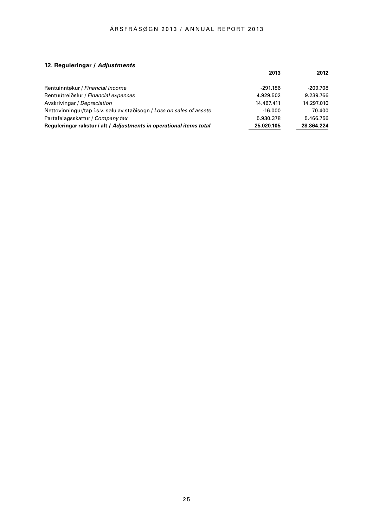# **12. Reguleringar /** *Adjustments*

|                                                                       | 2013       | 2012       |
|-----------------------------------------------------------------------|------------|------------|
| Rentuinntøkur / Financial income                                      | -291.186   | $-209.708$ |
| Rentuútreiðslur / Financial expences                                  | 4.929.502  | 9.239.766  |
| Avskrivingar / Depreciation                                           | 14.467.411 | 14.297.010 |
| Nettovinningur/tap i.s.v. sølu av støðisogn / Loss on sales of assets | $-16.000$  | 70.400     |
| Partafelagsskattur / Company tax                                      | 5.930.378  | 5.466.756  |
| Requieringar rakstur i alt / Adjustments in operational items total   | 25.020.105 | 28.864.224 |
|                                                                       |            |            |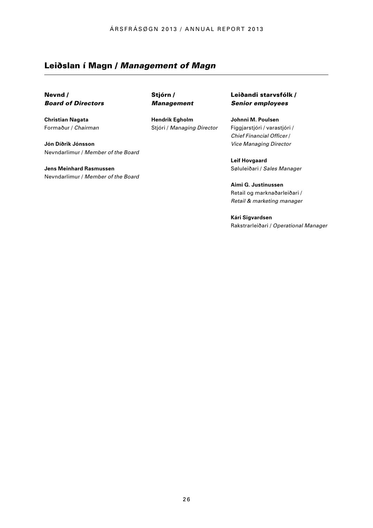# Leiðslan í Magn / *Management of Magn*

Nevnd / *Board of Directors* 

**Christian Nagata** Formaður / *Chairman*

**Jón Díðrik Jónsson**  Nevndarlimur / *Member of the Board* 

**Jens Meinhard Rasmussen** Nevndarlimur / *Member of the Board*  Stjórn / *Management*

**Hendrik Egholm**  Stjóri / *Managing Director* Leiðandi starvsfólk / *Senior employees* 

**Johnni M. Poulsen** Fíggjarstjóri / varastjóri / *Chief Financial Officer* / *Vice Managing Director* 

**Leif Hovgaard** Søluleiðari / *Sales Manager*

**Aimi G. Justinussen** Retail og marknaðarleiðari / *Retail & marketing manager*

**Kári Sigvardsen** Rakstrarleiðari / *Operational Manager*